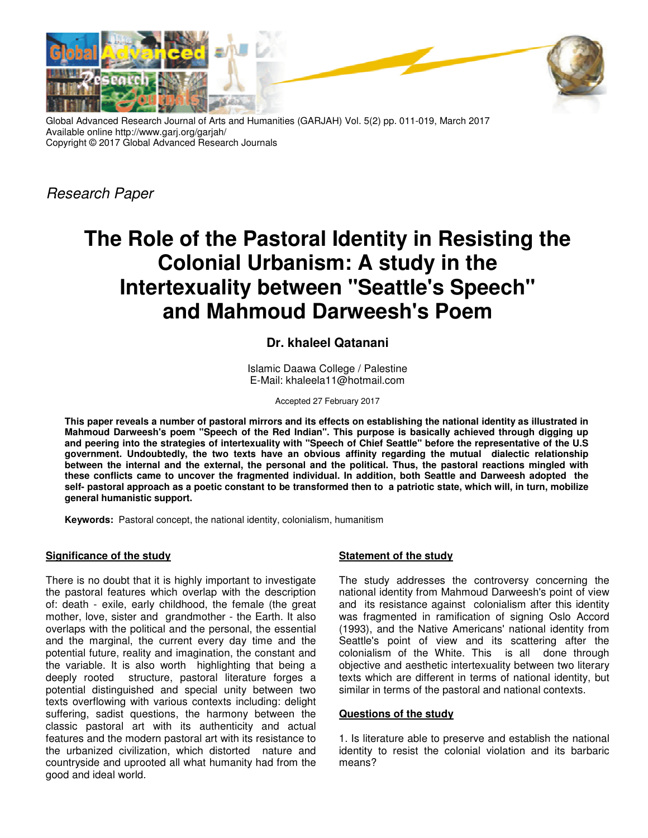

Global Advanced Research Journal of Arts and Humanities (GARJAH) Vol. 5(2) pp. 011-019, March 2017 Available online http://www.garj.org/garjah/ Copyright © 2017 Global Advanced Research Journals

Research Paper

# **The Role of the Pastoral Identity in Resisting the Colonial Urbanism: A study in the Intertexuality between "Seattle's Speech" and Mahmoud Darweesh's Poem**

## **Dr. khaleel Qatanani**

Islamic Daawa College / Palestine E-Mail: khaleela11@hotmail.com

Accepted 27 February 2017

**This paper reveals a number of pastoral mirrors and its effects on establishing the national identity as illustrated in Mahmoud Darweesh's poem "Speech of the Red Indian". This purpose is basically achieved through digging up and peering into the strategies of intertexuality with "Speech of Chief Seattle" before the representative of the U.S government. Undoubtedly, the two texts have an obvious affinity regarding the mutual dialectic relationship between the internal and the external, the personal and the political. Thus, the pastoral reactions mingled with these conflicts came to uncover the fragmented individual. In addition, both Seattle and Darweesh adopted the self- pastoral approach as a poetic constant to be transformed then to a patriotic state, which will, in turn, mobilize general humanistic support.** 

**Keywords:** Pastoral concept, the national identity, colonialism, humanitism

#### **Significance of the study**

There is no doubt that it is highly important to investigate the pastoral features which overlap with the description of: death - exile, early childhood, the female (the great mother, love, sister and grandmother - the Earth. It also overlaps with the political and the personal, the essential and the marginal, the current every day time and the potential future, reality and imagination, the constant and the variable. It is also worth highlighting that being a deeply rooted structure, pastoral literature forges a potential distinguished and special unity between two texts overflowing with various contexts including: delight suffering, sadist questions, the harmony between the classic pastoral art with its authenticity and actual features and the modern pastoral art with its resistance to the urbanized civilization, which distorted nature and countryside and uprooted all what humanity had from the good and ideal world.

#### **Statement of the study**

The study addresses the controversy concerning the national identity from Mahmoud Darweesh's point of view and its resistance against colonialism after this identity was fragmented in ramification of signing Oslo Accord (1993), and the Native Americans' national identity from Seattle's point of view and its scattering after the colonialism of the White. This is all done through objective and aesthetic intertexuality between two literary texts which are different in terms of national identity, but similar in terms of the pastoral and national contexts.

#### **Questions of the study**

1. Is literature able to preserve and establish the national identity to resist the colonial violation and its barbaric means?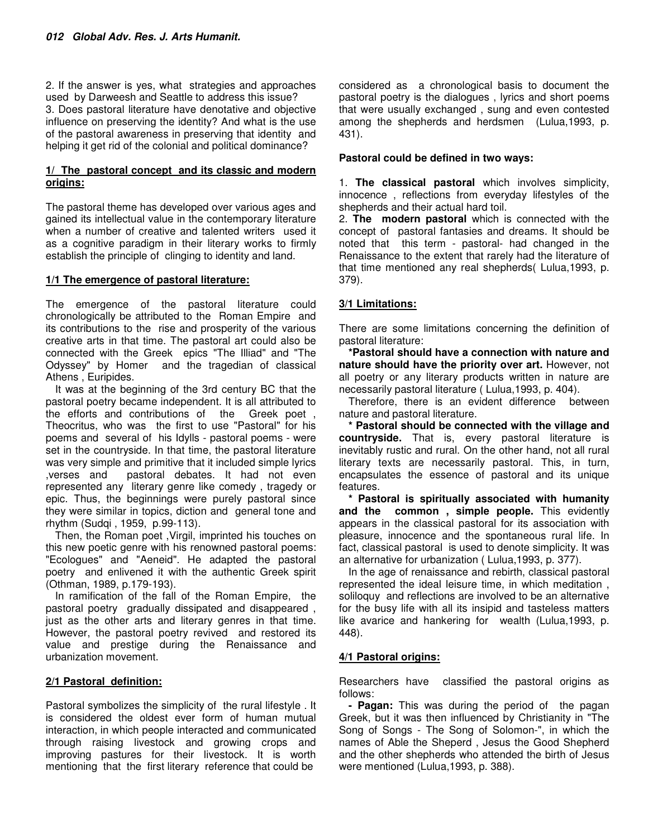2. If the answer is yes, what strategies and approaches used by Darweesh and Seattle to address this issue? 3. Does pastoral literature have denotative and objective influence on preserving the identity? And what is the use of the pastoral awareness in preserving that identity and helping it get rid of the colonial and political dominance?

#### **1/ The pastoral concept and its classic and modern origins:**

The pastoral theme has developed over various ages and gained its intellectual value in the contemporary literature when a number of creative and talented writers used it as a cognitive paradigm in their literary works to firmly establish the principle of clinging to identity and land.

#### **1/1 The emergence of pastoral literature:**

The emergence of the pastoral literature could chronologically be attributed to the Roman Empire and its contributions to the rise and prosperity of the various creative arts in that time. The pastoral art could also be connected with the Greek epics "The Illiad" and "The Odyssey" by Homer and the tragedian of classical Athens , Euripides.

It was at the beginning of the 3rd century BC that the pastoral poetry became independent. It is all attributed to the efforts and contributions of the Greek poet , Theocritus, who was the first to use "Pastoral" for his poems and several of his Idylls - pastoral poems - were set in the countryside. In that time, the pastoral literature was very simple and primitive that it included simple lyrics ,verses and pastoral debates. It had not even represented any literary genre like comedy , tragedy or epic. Thus, the beginnings were purely pastoral since they were similar in topics, diction and general tone and rhythm (Sudqi , 1959, p.99-113).

Then, the Roman poet ,Virgil, imprinted his touches on this new poetic genre with his renowned pastoral poems: "Ecologues" and "Aeneid". He adapted the pastoral poetry and enlivened it with the authentic Greek spirit (Othman, 1989, p.179-193).

In ramification of the fall of the Roman Empire, the pastoral poetry gradually dissipated and disappeared , just as the other arts and literary genres in that time. However, the pastoral poetry revived and restored its value and prestige during the Renaissance and urbanization movement.

### **2/1 Pastoral definition:**

Pastoral symbolizes the simplicity of the rural lifestyle . It is considered the oldest ever form of human mutual interaction, in which people interacted and communicated through raising livestock and growing crops and improving pastures for their livestock. It is worth mentioning that the first literary reference that could be

considered as a chronological basis to document the pastoral poetry is the dialogues , lyrics and short poems that were usually exchanged , sung and even contested among the shepherds and herdsmen (Lulua,1993, p. 431).

#### **Pastoral could be defined in two ways:**

1. **The classical pastoral** which involves simplicity, innocence , reflections from everyday lifestyles of the shepherds and their actual hard toil.

2. **The modern pastoral** which is connected with the concept of pastoral fantasies and dreams. It should be noted that this term - pastoral- had changed in the Renaissance to the extent that rarely had the literature of that time mentioned any real shepherds( Lulua,1993, p. 379).

#### **3/1 Limitations:**

There are some limitations concerning the definition of pastoral literature:

**\*Pastoral should have a connection with nature and nature should have the priority over art.** However, not all poetry or any literary products written in nature are necessarily pastoral literature ( Lulua,1993, p. 404).

Therefore, there is an evident difference between nature and pastoral literature.

**\* Pastoral should be connected with the village and countryside.** That is, every pastoral literature is inevitably rustic and rural. On the other hand, not all rural literary texts are necessarily pastoral. This, in turn, encapsulates the essence of pastoral and its unique features.

Pastoral is spiritually associated with humanity **and the common , simple people.** This evidently appears in the classical pastoral for its association with pleasure, innocence and the spontaneous rural life. In fact, classical pastoral is used to denote simplicity. It was an alternative for urbanization ( Lulua,1993, p. 377).

In the age of renaissance and rebirth, classical pastoral represented the ideal leisure time, in which meditation , soliloquy and reflections are involved to be an alternative for the busy life with all its insipid and tasteless matters like avarice and hankering for wealth (Lulua,1993, p. 448).

#### **4/1 Pastoral origins:**

Researchers have classified the pastoral origins as follows:

**- Pagan:** This was during the period of the pagan Greek, but it was then influenced by Christianity in "The Song of Songs - The Song of Solomon-", in which the names of Able the Sheperd , Jesus the Good Shepherd and the other shepherds who attended the birth of Jesus were mentioned (Lulua,1993, p. 388).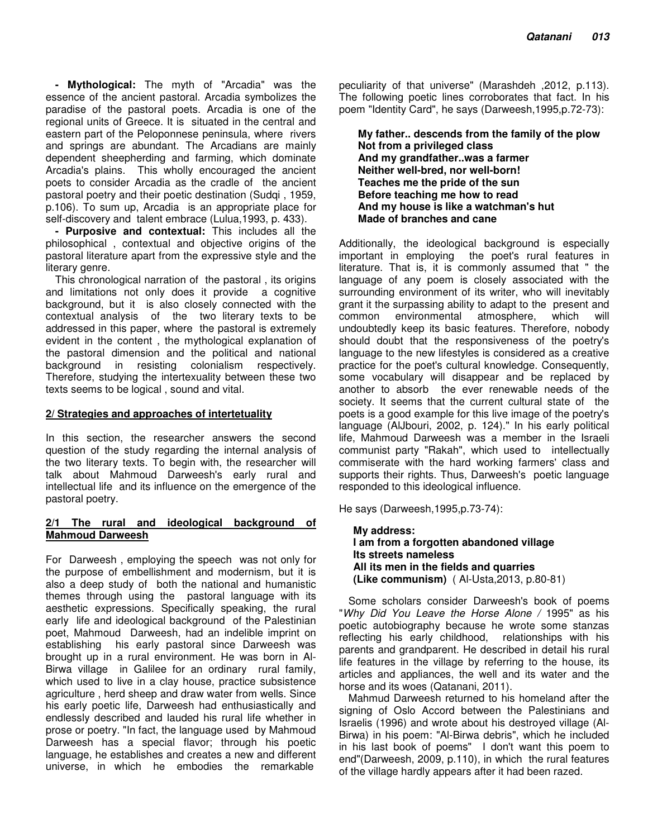**- Mythological:** The myth of "Arcadia" was the essence of the ancient pastoral. Arcadia symbolizes the paradise of the pastoral poets. Arcadia is one of the regional units of Greece. It is situated in the central and eastern part of the Peloponnese peninsula, where rivers and springs are abundant. The Arcadians are mainly dependent sheepherding and farming, which dominate Arcadia's plains. This wholly encouraged the ancient poets to consider Arcadia as the cradle of the ancient pastoral poetry and their poetic destination (Sudqi , 1959, p.106). To sum up, Arcadia is an appropriate place for self-discovery and talent embrace (Lulua,1993, p. 433).

**- Purposive and contextual:** This includes all the philosophical , contextual and objective origins of the pastoral literature apart from the expressive style and the literary genre.

This chronological narration of the pastoral , its origins and limitations not only does it provide a cognitive background, but it is also closely connected with the contextual analysis of the two literary texts to be addressed in this paper, where the pastoral is extremely evident in the content , the mythological explanation of the pastoral dimension and the political and national background in resisting colonialism respectively. Therefore, studying the intertexuality between these two texts seems to be logical , sound and vital.

#### **2/ Strategies and approaches of intertetuality**

In this section, the researcher answers the second question of the study regarding the internal analysis of the two literary texts. To begin with, the researcher will talk about Mahmoud Darweesh's early rural and intellectual life and its influence on the emergence of the pastoral poetry.

#### **2/1 The rural and ideological background of Mahmoud Darweesh**

For Darweesh , employing the speech was not only for the purpose of embellishment and modernism, but it is also a deep study of both the national and humanistic themes through using the pastoral language with its aesthetic expressions. Specifically speaking, the rural early life and ideological background of the Palestinian poet, Mahmoud Darweesh, had an indelible imprint on establishing his early pastoral since Darweesh was brought up in a rural environment. He was born in Al-Birwa village in Galilee for an ordinary rural family, which used to live in a clay house, practice subsistence agriculture , herd sheep and draw water from wells. Since his early poetic life, Darweesh had enthusiastically and endlessly described and lauded his rural life whether in prose or poetry. "In fact, the language used by Mahmoud Darweesh has a special flavor; through his poetic language, he establishes and creates a new and different universe, in which he embodies the remarkable

peculiarity of that universe" (Marashdeh ,2012, p.113). The following poetic lines corroborates that fact. In his poem "Identity Card", he says (Darweesh,1995,p.72-73):

#### **My father.. descends from the family of the plow Not from a privileged class And my grandfather..was a farmer Neither well-bred, nor well-born! Teaches me the pride of the sun Before teaching me how to read And my house is like a watchman's hut Made of branches and cane**

Additionally, the ideological background is especially important in employing the poet's rural features in literature. That is, it is commonly assumed that " the language of any poem is closely associated with the surrounding environment of its writer, who will inevitably grant it the surpassing ability to adapt to the present and common environmental atmosphere, which will undoubtedly keep its basic features. Therefore, nobody should doubt that the responsiveness of the poetry's language to the new lifestyles is considered as a creative practice for the poet's cultural knowledge. Consequently, some vocabulary will disappear and be replaced by another to absorb the ever renewable needs of the society. It seems that the current cultural state of the poets is a good example for this live image of the poetry's language (AlJbouri, 2002, p. 124)." In his early political life, Mahmoud Darweesh was a member in the Israeli communist party "Rakah", which used to intellectually commiserate with the hard working farmers' class and supports their rights. Thus, Darweesh's poetic language responded to this ideological influence.

He says (Darweesh,1995,p.73-74):

**My address: I am from a forgotten abandoned village Its streets nameless All its men in the fields and quarries (Like communism)** ( Al-Usta,2013, p.80-81)

Some scholars consider Darweesh's book of poems "Why Did You Leave the Horse Alone / 1995" as his poetic autobiography because he wrote some stanzas reflecting his early childhood, relationships with his parents and grandparent. He described in detail his rural life features in the village by referring to the house, its articles and appliances, the well and its water and the horse and its woes (Qatanani, 2011).

Mahmud Darweesh returned to his homeland after the signing of Oslo Accord between the Palestinians and Israelis (1996) and wrote about his destroyed village (Al-Birwa) in his poem: "Al-Birwa debris", which he included in his last book of poems" I don't want this poem to end"(Darweesh, 2009, p.110), in which the rural features of the village hardly appears after it had been razed.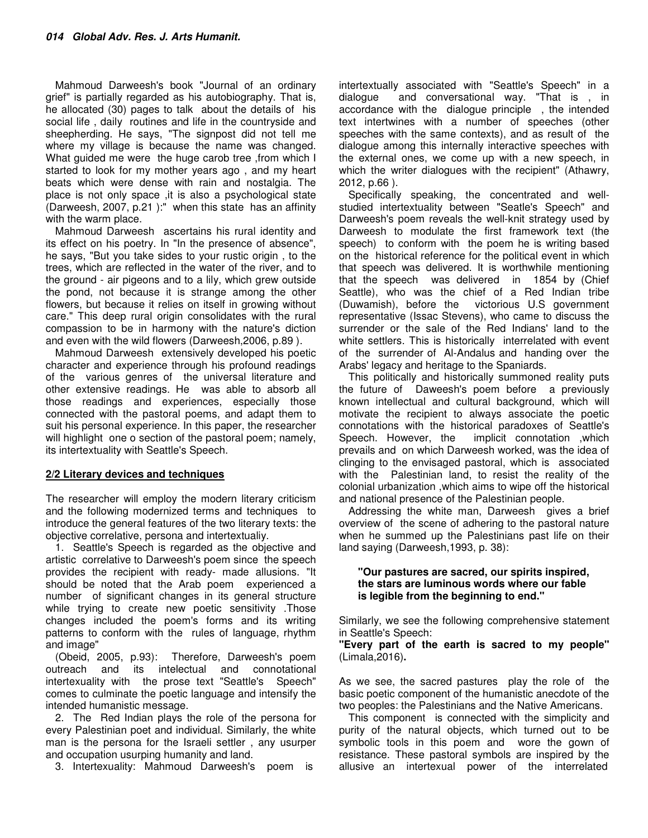Mahmoud Darweesh's book "Journal of an ordinary grief" is partially regarded as his autobiography. That is, he allocated (30) pages to talk about the details of his social life , daily routines and life in the countryside and sheepherding. He says, "The signpost did not tell me where my village is because the name was changed. What guided me were the huge carob tree ,from which I started to look for my mother years ago , and my heart beats which were dense with rain and nostalgia. The place is not only space ,it is also a psychological state (Darweesh, 2007, p.21 ):" when this state has an affinity with the warm place.

Mahmoud Darweesh ascertains his rural identity and its effect on his poetry. In "In the presence of absence", he says, "But you take sides to your rustic origin , to the trees, which are reflected in the water of the river, and to the ground - air pigeons and to a lily, which grew outside the pond, not because it is strange among the other flowers, but because it relies on itself in growing without care." This deep rural origin consolidates with the rural compassion to be in harmony with the nature's diction and even with the wild flowers (Darweesh,2006, p.89 ).

Mahmoud Darweesh extensively developed his poetic character and experience through his profound readings of the various genres of the universal literature and other extensive readings. He was able to absorb all those readings and experiences, especially those connected with the pastoral poems, and adapt them to suit his personal experience. In this paper, the researcher will highlight one o section of the pastoral poem; namely, its intertextuality with Seattle's Speech.

#### **2/2 Literary devices and techniques**

The researcher will employ the modern literary criticism and the following modernized terms and techniques to introduce the general features of the two literary texts: the objective correlative, persona and intertextualiy.

1. Seattle's Speech is regarded as the objective and artistic correlative to Darweesh's poem since the speech provides the recipient with ready- made allusions. "It should be noted that the Arab poem experienced a number of significant changes in its general structure while trying to create new poetic sensitivity .Those changes included the poem's forms and its writing patterns to conform with the rules of language, rhythm and image"

(Obeid, 2005, p.93): Therefore, Darweesh's poem outreach and its intelectual and connotational intertexuality with the prose text "Seattle's Speech" comes to culminate the poetic language and intensify the intended humanistic message.

2. The Red Indian plays the role of the persona for every Palestinian poet and individual. Similarly, the white man is the persona for the Israeli settler , any usurper and occupation usurping humanity and land.

3. Intertexuality: Mahmoud Darweesh's poem is

intertextually associated with "Seattle's Speech" in a dialogue and conversational way. "That is , in accordance with the dialogue principle , the intended text intertwines with a number of speeches (other speeches with the same contexts), and as result of the dialogue among this internally interactive speeches with the external ones, we come up with a new speech, in which the writer dialogues with the recipient" (Athawry, 2012, p.66 ).

Specifically speaking, the concentrated and wellstudied intertextuality between "Seatle's Speech" and Darweesh's poem reveals the well-knit strategy used by Darweesh to modulate the first framework text (the speech) to conform with the poem he is writing based on the historical reference for the political event in which that speech was delivered. It is worthwhile mentioning that the speech was delivered in 1854 by (Chief Seattle), who was the chief of a Red Indian tribe (Duwamish), before the victorious U.S government representative (Issac Stevens), who came to discuss the surrender or the sale of the Red Indians' land to the white settlers. This is historically interrelated with event of the surrender of Al-Andalus and handing over the Arabs' legacy and heritage to the Spaniards.

This politically and historically summoned reality puts the future of Daweesh's poem before a previously known intellectual and cultural background, which will motivate the recipient to always associate the poetic connotations with the historical paradoxes of Seattle's Speech. However, the implicit connotation ,which prevails and on which Darweesh worked, was the idea of clinging to the envisaged pastoral, which is associated with the Palestinian land, to resist the reality of the colonial urbanization ,which aims to wipe off the historical and national presence of the Palestinian people.

Addressing the white man, Darweesh gives a brief overview of the scene of adhering to the pastoral nature when he summed up the Palestinians past life on their land saying (Darweesh,1993, p. 38):

#### **"Our pastures are sacred, our spirits inspired, the stars are luminous words where our fable is legible from the beginning to end."**

Similarly, we see the following comprehensive statement in Seattle's Speech:

**"Every part of the earth is sacred to my people"**  (Limala,2016)**.** 

As we see, the sacred pastures play the role of the basic poetic component of the humanistic anecdote of the two peoples: the Palestinians and the Native Americans.

This component is connected with the simplicity and purity of the natural objects, which turned out to be symbolic tools in this poem and wore the gown of resistance. These pastoral symbols are inspired by the allusive an intertexual power of the interrelated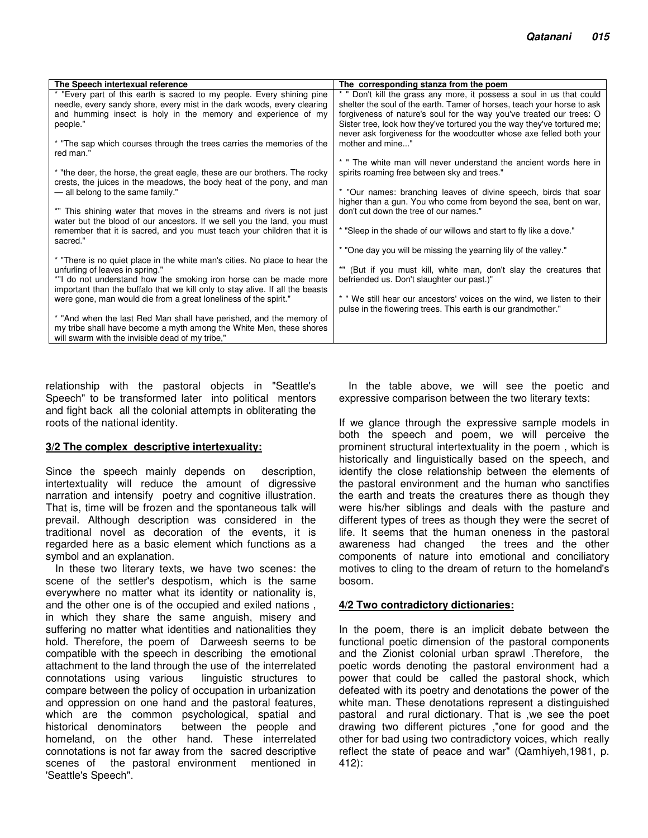| The Speech intertexual reference                                                                                                                                                                                                                                                                                                                                                                                                                                                                                                                                                                                                                                                                                                                                                                                                                                                                                                                    |                                                                                                                                                                                                                                                                                                                                                                                                                                                                                                                                                                                                                                                                                                                                                                                                                                                                                                                                                                                                              |
|-----------------------------------------------------------------------------------------------------------------------------------------------------------------------------------------------------------------------------------------------------------------------------------------------------------------------------------------------------------------------------------------------------------------------------------------------------------------------------------------------------------------------------------------------------------------------------------------------------------------------------------------------------------------------------------------------------------------------------------------------------------------------------------------------------------------------------------------------------------------------------------------------------------------------------------------------------|--------------------------------------------------------------------------------------------------------------------------------------------------------------------------------------------------------------------------------------------------------------------------------------------------------------------------------------------------------------------------------------------------------------------------------------------------------------------------------------------------------------------------------------------------------------------------------------------------------------------------------------------------------------------------------------------------------------------------------------------------------------------------------------------------------------------------------------------------------------------------------------------------------------------------------------------------------------------------------------------------------------|
| * "Every part of this earth is sacred to my people. Every shining pine<br>needle, every sandy shore, every mist in the dark woods, every clearing<br>and humming insect is holy in the memory and experience of my<br>people."<br>* "The sap which courses through the trees carries the memories of the<br>red man."<br>* "the deer, the horse, the great eagle, these are our brothers. The rocky<br>crests, the juices in the meadows, the body heat of the pony, and man<br>- all belong to the same family."<br>*" This shining water that moves in the streams and rivers is not just<br>water but the blood of our ancestors. If we sell you the land, you must<br>remember that it is sacred, and you must teach your children that it is<br>sacred."<br>* "There is no quiet place in the white man's cities. No place to hear the<br>unfurling of leaves in spring."<br>*"I do not understand how the smoking iron horse can be made more | The corresponding stanza from the poem<br>* " Don't kill the grass any more, it possess a soul in us that could<br>shelter the soul of the earth. Tamer of horses, teach your horse to ask<br>forgiveness of nature's soul for the way you've treated our trees: O<br>Sister tree, look how they've tortured you the way they've tortured me;<br>never ask forgiveness for the woodcutter whose axe felled both your<br>mother and mine"<br>* " The white man will never understand the ancient words here in<br>spirits roaming free between sky and trees."<br>* "Our names: branching leaves of divine speech, birds that soar<br>higher than a gun. You who come from beyond the sea, bent on war,<br>don't cut down the tree of our names."<br>* "Sleep in the shade of our willows and start to fly like a dove."<br>* "One day you will be missing the yearning lily of the valley."<br>(But if you must kill, white man, don't slay the creatures that<br>befriended us. Don't slaughter our past.)" |
| important than the buffalo that we kill only to stay alive. If all the beasts<br>were gone, man would die from a great loneliness of the spirit."                                                                                                                                                                                                                                                                                                                                                                                                                                                                                                                                                                                                                                                                                                                                                                                                   | * " We still hear our ancestors' voices on the wind, we listen to their                                                                                                                                                                                                                                                                                                                                                                                                                                                                                                                                                                                                                                                                                                                                                                                                                                                                                                                                      |
|                                                                                                                                                                                                                                                                                                                                                                                                                                                                                                                                                                                                                                                                                                                                                                                                                                                                                                                                                     | pulse in the flowering trees. This earth is our grandmother."                                                                                                                                                                                                                                                                                                                                                                                                                                                                                                                                                                                                                                                                                                                                                                                                                                                                                                                                                |
| * "And when the last Red Man shall have perished, and the memory of<br>my tribe shall have become a myth among the White Men, these shores                                                                                                                                                                                                                                                                                                                                                                                                                                                                                                                                                                                                                                                                                                                                                                                                          |                                                                                                                                                                                                                                                                                                                                                                                                                                                                                                                                                                                                                                                                                                                                                                                                                                                                                                                                                                                                              |
| will swarm with the invisible dead of my tribe,"                                                                                                                                                                                                                                                                                                                                                                                                                                                                                                                                                                                                                                                                                                                                                                                                                                                                                                    |                                                                                                                                                                                                                                                                                                                                                                                                                                                                                                                                                                                                                                                                                                                                                                                                                                                                                                                                                                                                              |

relationship with the pastoral objects in "Seattle's Speech" to be transformed later into political mentors and fight back all the colonial attempts in obliterating the roots of the national identity.

#### **3/2 The complex descriptive intertexuality:**

Since the speech mainly depends on description, intertextuality will reduce the amount of digressive narration and intensify poetry and cognitive illustration. That is, time will be frozen and the spontaneous talk will prevail. Although description was considered in the traditional novel as decoration of the events, it is regarded here as a basic element which functions as a symbol and an explanation.

In these two literary texts, we have two scenes: the scene of the settler's despotism, which is the same everywhere no matter what its identity or nationality is, and the other one is of the occupied and exiled nations , in which they share the same anguish, misery and suffering no matter what identities and nationalities they hold. Therefore, the poem of Darweesh seems to be compatible with the speech in describing the emotional attachment to the land through the use of the interrelated connotations using various linguistic structures to compare between the policy of occupation in urbanization and oppression on one hand and the pastoral features, which are the common psychological, spatial and historical denominators between the people and homeland, on the other hand. These interrelated connotations is not far away from the sacred descriptive scenes of the pastoral environment mentioned in 'Seattle's Speech".

In the table above, we will see the poetic and expressive comparison between the two literary texts:

If we glance through the expressive sample models in both the speech and poem, we will perceive the prominent structural intertextuality in the poem , which is historically and linguistically based on the speech, and identify the close relationship between the elements of the pastoral environment and the human who sanctifies the earth and treats the creatures there as though they were his/her siblings and deals with the pasture and different types of trees as though they were the secret of life. It seems that the human oneness in the pastoral awareness had changed the trees and the other components of nature into emotional and conciliatory motives to cling to the dream of return to the homeland's bosom.

#### **4/2 Two contradictory dictionaries:**

In the poem, there is an implicit debate between the functional poetic dimension of the pastoral components and the Zionist colonial urban sprawl .Therefore, the poetic words denoting the pastoral environment had a power that could be called the pastoral shock, which defeated with its poetry and denotations the power of the white man. These denotations represent a distinguished pastoral and rural dictionary. That is ,we see the poet drawing two different pictures ,"one for good and the other for bad using two contradictory voices, which really reflect the state of peace and war" (Qamhiyeh,1981, p. 412):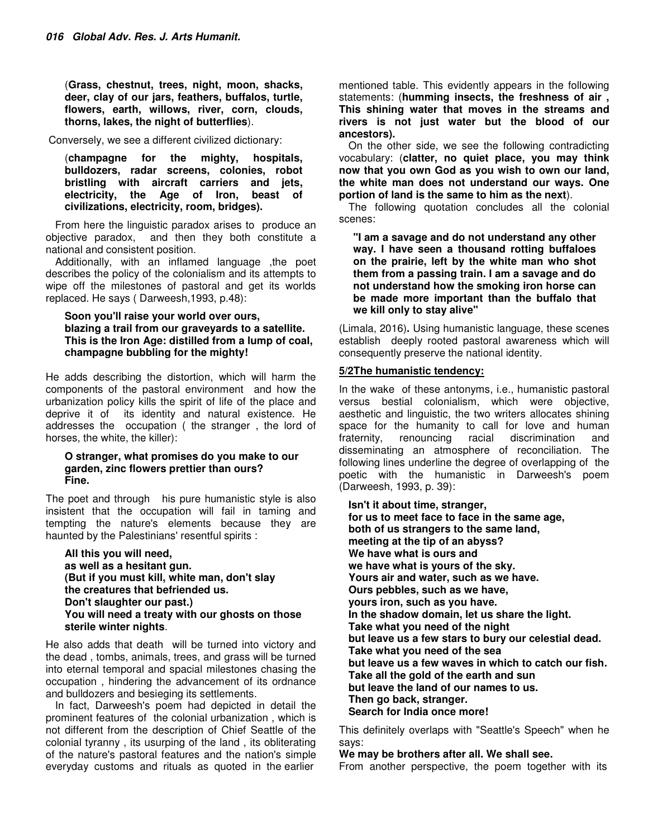(**Grass, chestnut, trees, night, moon, shacks, deer, clay of our jars, feathers, buffalos, turtle, flowers, earth, willows, river, corn, clouds, thorns, lakes, the night of butterflies**).

Conversely, we see a different civilized dictionary:

(**champagne for the mighty, hospitals, bulldozers, radar screens, colonies, robot bristling with aircraft carriers and jets, electricity, the Age of Iron, beast of civilizations, electricity, room, bridges).**

From here the linguistic paradox arises to produce an objective paradox, and then they both constitute a national and consistent position.

Additionally, with an inflamed language ,the poet describes the policy of the colonialism and its attempts to wipe off the milestones of pastoral and get its worlds replaced. He says ( Darweesh,1993, p.48):

#### **Soon you'll raise your world over ours, blazing a trail from our graveyards to a satellite. This is the Iron Age: distilled from a lump of coal, champagne bubbling for the mighty!**

He adds describing the distortion, which will harm the components of the pastoral environment and how the urbanization policy kills the spirit of life of the place and deprive it of its identity and natural existence. He addresses the occupation ( the stranger , the lord of horses, the white, the killer):

#### **O stranger, what promises do you make to our garden, zinc flowers prettier than ours? Fine.**

The poet and through his pure humanistic style is also insistent that the occupation will fail in taming and tempting the nature's elements because they are haunted by the Palestinians' resentful spirits :

**All this you will need, as well as a hesitant gun. (But if you must kill, white man, don't slay the creatures that befriended us. Don't slaughter our past.) You will need a treaty with our ghosts on those sterile winter nights**.

He also adds that death will be turned into victory and the dead , tombs, animals, trees, and grass will be turned into eternal temporal and spacial milestones chasing the occupation , hindering the advancement of its ordnance and bulldozers and besieging its settlements.

In fact, Darweesh's poem had depicted in detail the prominent features of the colonial urbanization , which is not different from the description of Chief Seattle of the colonial tyranny , its usurping of the land , its obliterating of the nature's pastoral features and the nation's simple everyday customs and rituals as quoted in the earlier

mentioned table. This evidently appears in the following statements: (**humming insects, the freshness of air , This shining water that moves in the streams and rivers is not just water but the blood of our ancestors).** 

On the other side, we see the following contradicting vocabulary: (**clatter, no quiet place, you may think now that you own God as you wish to own our land, the white man does not understand our ways. One portion of land is the same to him as the next**).

The following quotation concludes all the colonial scenes:

**"I am a savage and do not understand any other way. I have seen a thousand rotting buffaloes on the prairie, left by the white man who shot them from a passing train. I am a savage and do not understand how the smoking iron horse can be made more important than the buffalo that we kill only to stay alive"** 

(Limala, 2016)**.** Using humanistic language, these scenes establish deeply rooted pastoral awareness which will consequently preserve the national identity.

#### **5/2The humanistic tendency:**

In the wake of these antonyms, i.e., humanistic pastoral versus bestial colonialism, which were objective, aesthetic and linguistic, the two writers allocates shining space for the humanity to call for love and human fraternity, renouncing racial discrimination and disseminating an atmosphere of reconciliation. The following lines underline the degree of overlapping of the poetic with the humanistic in Darweesh's poem (Darweesh, 1993, p. 39):

**Isn't it about time, stranger, for us to meet face to face in the same age, both of us strangers to the same land, meeting at the tip of an abyss? We have what is ours and we have what is yours of the sky. Yours air and water, such as we have. Ours pebbles, such as we have, yours iron, such as you have. In the shadow domain, let us share the light. Take what you need of the night but leave us a few stars to bury our celestial dead. Take what you need of the sea but leave us a few waves in which to catch our fish. Take all the gold of the earth and sun but leave the land of our names to us. Then go back, stranger. Search for India once more!** 

This definitely overlaps with "Seattle's Speech" when he says:

**We may be brothers after all. We shall see.** 

From another perspective, the poem together with its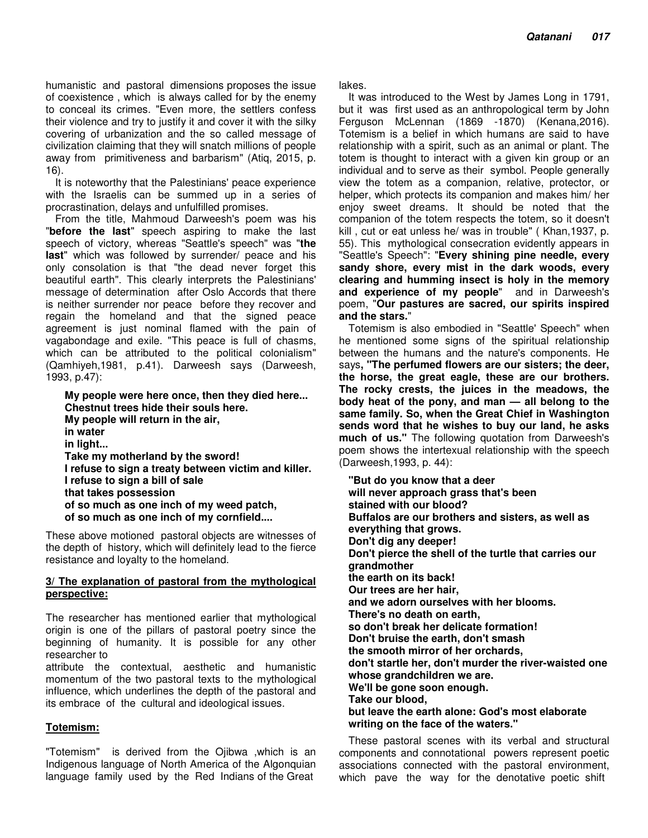humanistic and pastoral dimensions proposes the issue of coexistence , which is always called for by the enemy to conceal its crimes. "Even more, the settlers confess their violence and try to justify it and cover it with the silky covering of urbanization and the so called message of civilization claiming that they will snatch millions of people away from primitiveness and barbarism" (Atiq, 2015, p. 16).

It is noteworthy that the Palestinians' peace experience with the Israelis can be summed up in a series of procrastination, delays and unfulfilled promises.

From the title, Mahmoud Darweesh's poem was his "**before the last**" speech aspiring to make the last speech of victory, whereas "Seattle's speech" was "**the last**" which was followed by surrender/ peace and his only consolation is that "the dead never forget this beautiful earth". This clearly interprets the Palestinians' message of determination after Oslo Accords that there is neither surrender nor peace before they recover and regain the homeland and that the signed peace agreement is just nominal flamed with the pain of vagabondage and exile. "This peace is full of chasms, which can be attributed to the political colonialism" (Qamhiyeh,1981, p.41). Darweesh says (Darweesh, 1993, p.47):

**My people were here once, then they died here... Chestnut trees hide their souls here. My people will return in the air, in water in light... Take my motherland by the sword! I refuse to sign a treaty between victim and killer. I refuse to sign a bill of sale that takes possession of so much as one inch of my weed patch, of so much as one inch of my cornfield....** 

These above motioned pastoral objects are witnesses of the depth of history, which will definitely lead to the fierce resistance and loyalty to the homeland.

#### **3/ The explanation of pastoral from the mythological perspective:**

The researcher has mentioned earlier that mythological origin is one of the pillars of pastoral poetry since the beginning of humanity. It is possible for any other researcher to

attribute the contextual, aesthetic and humanistic momentum of the two pastoral texts to the mythological influence, which underlines the depth of the pastoral and its embrace of the cultural and ideological issues.

#### **Totemism:**

"Totemism" is derived from the Ojibwa ,which is an Indigenous language of North America of the Algonquian language family used by the Red Indians of the Great lakes.

It was introduced to the West by James Long in 1791, but it was first used as an anthropological term by John Ferguson McLennan (1869 -1870) (Kenana,2016). Totemism is a belief in which humans are said to have relationship with a spirit, such as an animal or plant. The totem is thought to interact with a given kin group or an individual and to serve as their symbol. People generally view the totem as a companion, relative, protector, or helper, which protects its companion and makes him/ her enjoy sweet dreams. It should be noted that the companion of the totem respects the totem, so it doesn't kill , cut or eat unless he/ was in trouble" ( Khan,1937, p. 55). This mythological consecration evidently appears in "Seattle's Speech": "**Every shining pine needle, every sandy shore, every mist in the dark woods, every clearing and humming insect is holy in the memory and experience of my people**"and in Darweesh's poem, "**Our pastures are sacred, our spirits inspired and the stars.**"

Totemism is also embodied in "Seattle' Speech" when he mentioned some signs of the spiritual relationship between the humans and the nature's components. He says**, "The perfumed flowers are our sisters; the deer, the horse, the great eagle, these are our brothers. The rocky crests, the juices in the meadows, the body heat of the pony, and man — all belong to the same family. So, when the Great Chief in Washington sends word that he wishes to buy our land, he asks much of us."** The following quotation from Darweesh's poem shows the intertexual relationship with the speech (Darweesh,1993, p. 44):

**"But do you know that a deer will never approach grass that's been stained with our blood? Buffalos are our brothers and sisters, as well as everything that grows. Don't dig any deeper! Don't pierce the shell of the turtle that carries our grandmother the earth on its back! Our trees are her hair, and we adorn ourselves with her blooms. There's no death on earth, so don't break her delicate formation! Don't bruise the earth, don't smash the smooth mirror of her orchards, don't startle her, don't murder the river-waisted one whose grandchildren we are. We'll be gone soon enough. Take our blood, but leave the earth alone: God's most elaborate writing on the face of the waters."** 

These pastoral scenes with its verbal and structural components and connotational powers represent poetic associations connected with the pastoral environment, which pave the way for the denotative poetic shift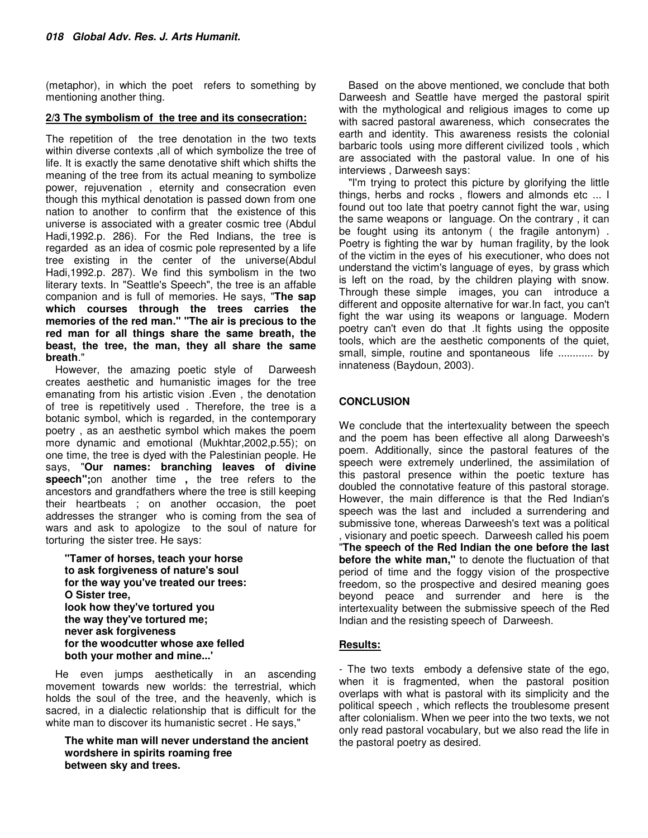(metaphor), in which the poet refers to something by mentioning another thing.

#### **2/3 The symbolism of the tree and its consecration:**

The repetition of the tree denotation in the two texts within diverse contexts ,all of which symbolize the tree of life. It is exactly the same denotative shift which shifts the meaning of the tree from its actual meaning to symbolize power, rejuvenation , eternity and consecration even though this mythical denotation is passed down from one nation to another to confirm that the existence of this universe is associated with a greater cosmic tree (Abdul Hadi,1992.p. 286). For the Red Indians, the tree is regarded as an idea of cosmic pole represented by a life tree existing in the center of the universe(Abdul Hadi,1992.p. 287). We find this symbolism in the two literary texts. In "Seattle's Speech", the tree is an affable companion and is full of memories. He says, "**The sap which courses through the trees carries the memories of the red man." "The air is precious to the red man for all things share the same breath, the beast, the tree, the man, they all share the same breath**."

However, the amazing poetic style of Darweesh creates aesthetic and humanistic images for the tree emanating from his artistic vision .Even , the denotation of tree is repetitively used . Therefore, the tree is a botanic symbol, which is regarded, in the contemporary poetry , as an aesthetic symbol which makes the poem more dynamic and emotional (Mukhtar,2002,p.55); on one time, the tree is dyed with the Palestinian people. He says, "**Our names: branching leaves of divine speech";**on another time **,** the tree refers to the ancestors and grandfathers where the tree is still keeping their heartbeats ; on another occasion, the poet addresses the stranger who is coming from the sea of wars and ask to apologize to the soul of nature for torturing the sister tree. He says:

**"Tamer of horses, teach your horse to ask forgiveness of nature's soul for the way you've treated our trees: O Sister tree, look how they've tortured you the way they've tortured me; never ask forgiveness for the woodcutter whose axe felled both your mother and mine...'** 

He even jumps aesthetically in an ascending movement towards new worlds: the terrestrial, which holds the soul of the tree, and the heavenly, which is sacred, in a dialectic relationship that is difficult for the white man to discover its humanistic secret . He says,"

**The white man will never understand the ancient wordshere in spirits roaming free between sky and trees.** 

Based on the above mentioned, we conclude that both Darweesh and Seattle have merged the pastoral spirit with the mythological and religious images to come up with sacred pastoral awareness, which consecrates the earth and identity. This awareness resists the colonial barbaric tools using more different civilized tools , which are associated with the pastoral value. In one of his interviews , Darweesh says:

"I'm trying to protect this picture by glorifying the little things, herbs and rocks , flowers and almonds etc ... I found out too late that poetry cannot fight the war, using the same weapons or language. On the contrary , it can be fought using its antonym ( the fragile antonym) . Poetry is fighting the war by human fragility, by the look of the victim in the eyes of his executioner, who does not understand the victim's language of eyes, by grass which is left on the road, by the children playing with snow. Through these simple images, you can introduce a different and opposite alternative for war.In fact, you can't fight the war using its weapons or language. Modern poetry can't even do that .It fights using the opposite tools, which are the aesthetic components of the quiet, small, simple, routine and spontaneous life ............ by innateness (Baydoun, 2003).

#### **CONCLUSION**

We conclude that the intertexuality between the speech and the poem has been effective all along Darweesh's poem. Additionally, since the pastoral features of the speech were extremely underlined, the assimilation of this pastoral presence within the poetic texture has doubled the connotative feature of this pastoral storage. However, the main difference is that the Red Indian's speech was the last and included a surrendering and submissive tone, whereas Darweesh's text was a political , visionary and poetic speech. Darweesh called his poem "**The speech of the Red Indian the one before the last before the white man,"** to denote the fluctuation of that period of time and the foggy vision of the prospective freedom, so the prospective and desired meaning goes beyond peace and surrender and here is the intertexuality between the submissive speech of the Red Indian and the resisting speech of Darweesh.

#### **Results:**

- The two texts embody a defensive state of the ego, when it is fragmented, when the pastoral position overlaps with what is pastoral with its simplicity and the political speech , which reflects the troublesome present after colonialism. When we peer into the two texts, we not only read pastoral vocabulary, but we also read the life in the pastoral poetry as desired.